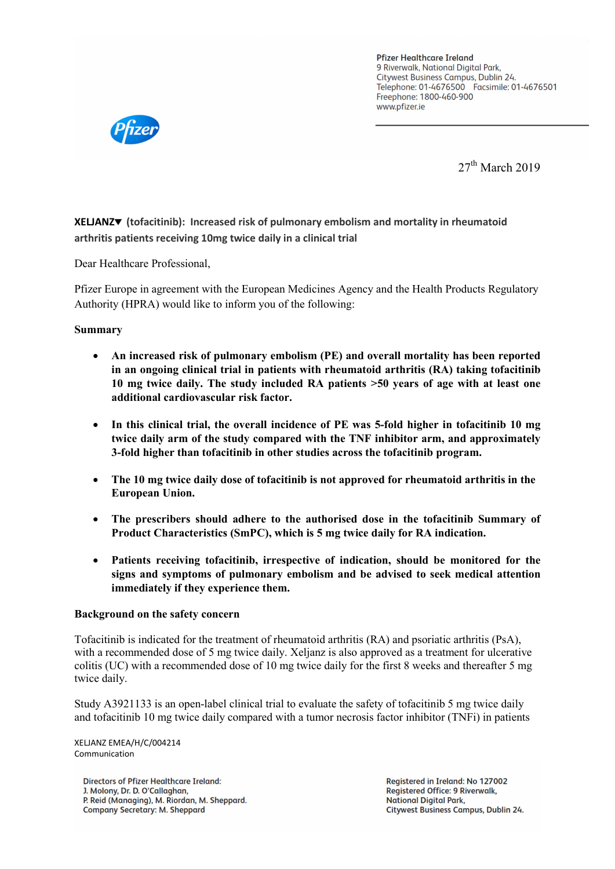**Pfizer Healthcare Ireland** 9 Riverwalk, National Digital Park. Citywest Business Campus, Dublin 24. Telephone: 01-4676500 Facsimile: 01-4676501 Freephone: 1800-460-900 www.pfizer.ie



27<sup>th</sup> March 2019

**XELJANZ (tofacitinib): Increased risk of pulmonary embolism and mortality in rheumatoid arthritis patients receiving 10mg twice daily in a clinical trial** 

Dear Healthcare Professional,

Pfizer Europe in agreement with the European Medicines Agency and the Health Products Regulatory Authority (HPRA) would like to inform you of the following:

## **Summary**

- **An increased risk of pulmonary embolism (PE) and overall mortality has been reported in an ongoing clinical trial in patients with rheumatoid arthritis (RA) taking tofacitinib 10 mg twice daily. The study included RA patients >50 years of age with at least one additional cardiovascular risk factor.**
- **In this clinical trial, the overall incidence of PE was 5-fold higher in tofacitinib 10 mg twice daily arm of the study compared with the TNF inhibitor arm, and approximately 3-fold higher than tofacitinib in other studies across the tofacitinib program.**
- **The 10 mg twice daily dose of tofacitinib is not approved for rheumatoid arthritis in the European Union.**
- **The prescribers should adhere to the authorised dose in the tofacitinib Summary of Product Characteristics (SmPC), which is 5 mg twice daily for RA indication.**
- **Patients receiving tofacitinib, irrespective of indication, should be monitored for the signs and symptoms of pulmonary embolism and be advised to seek medical attention immediately if they experience them.**

## **Background on the safety concern**

Tofacitinib is indicated for the treatment of rheumatoid arthritis (RA) and psoriatic arthritis (PsA), with a recommended dose of 5 mg twice daily. Xeljanz is also approved as a treatment for ulcerative colitis (UC) with a recommended dose of 10 mg twice daily for the first 8 weeks and thereafter 5 mg twice daily.

Study A3921133 is an open-label clinical trial to evaluate the safety of tofacitinib 5 mg twice daily and tofacitinib 10 mg twice daily compared with a tumor necrosis factor inhibitor (TNFi) in patients

XELJANZ EMEA/H/C/004214 Communication

**Directors of Pfizer Healthcare Ireland:** J. Molony, Dr. D. O'Callaghan, P. Reid (Managing), M. Riordan, M. Sheppard. **Company Secretary: M. Sheppard** 

Registered in Ireland: No 127002 **Registered Office: 9 Riverwalk, National Digital Park.** Citywest Business Campus, Dublin 24.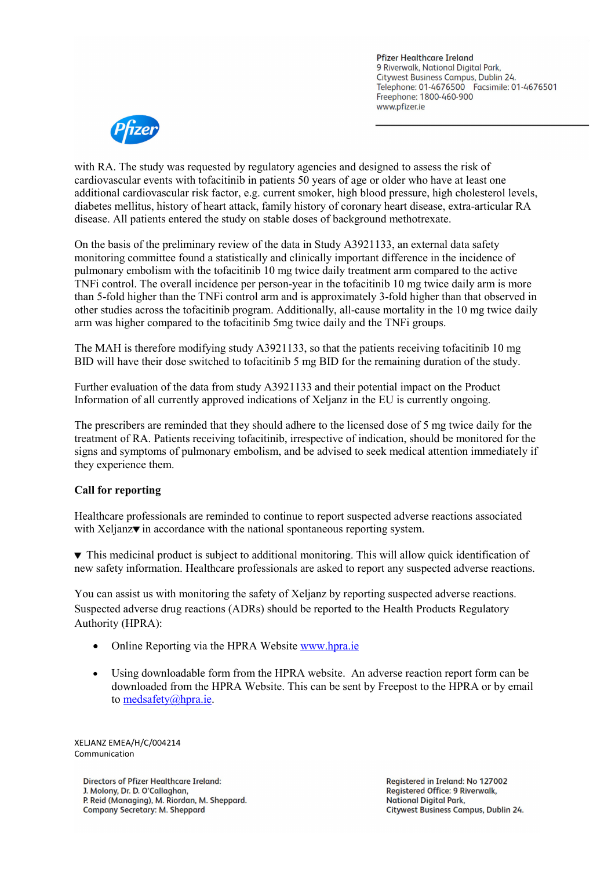**Pfizer Healthcare Ireland** 9 Riverwalk, National Digital Park. Citywest Business Campus, Dublin 24. Telephone: 01-4676500 Facsimile: 01-4676501 Freephone: 1800-460-900 www.pfizer.ie



with RA. The study was requested by regulatory agencies and designed to assess the risk of cardiovascular events with tofacitinib in patients 50 years of age or older who have at least one additional cardiovascular risk factor, e.g. current smoker, high blood pressure, high cholesterol levels, diabetes mellitus, history of heart attack, family history of coronary heart disease, extra-articular RA disease. All patients entered the study on stable doses of background methotrexate.

On the basis of the preliminary review of the data in Study A3921133, an external data safety monitoring committee found a statistically and clinically important difference in the incidence of pulmonary embolism with the tofacitinib 10 mg twice daily treatment arm compared to the active TNFi control. The overall incidence per person-year in the tofacitinib 10 mg twice daily arm is more than 5-fold higher than the TNFi control arm and is approximately 3-fold higher than that observed in other studies across the tofacitinib program. Additionally, all-cause mortality in the 10 mg twice daily arm was higher compared to the tofacitinib 5mg twice daily and the TNFi groups.

The MAH is therefore modifying study A3921133, so that the patients receiving tofacitinib 10 mg BID will have their dose switched to tofacitinib 5 mg BID for the remaining duration of the study.

Further evaluation of the data from study A3921133 and their potential impact on the Product Information of all currently approved indications of Xeljanz in the EU is currently ongoing.

The prescribers are reminded that they should adhere to the licensed dose of 5 mg twice daily for the treatment of RA. Patients receiving tofacitinib, irrespective of indication, should be monitored for the signs and symptoms of pulmonary embolism, and be advised to seek medical attention immediately if they experience them.

# **Call for reporting**

Healthcare professionals are reminded to continue to report suspected adverse reactions associated with Xeljanz $\blacktriangledown$  in accordance with the national spontaneous reporting system.

 This medicinal product is subject to additional monitoring. This will allow quick identification of new safety information. Healthcare professionals are asked to report any suspected adverse reactions.

You can assist us with monitoring the safety of Xeljanz by reporting suspected adverse reactions. Suspected adverse drug reactions (ADRs) should be reported to the Health Products Regulatory Authority (HPRA):

- Online Reporting via the HPRA Website [www.hpra.ie](http://www.hpra.ie/)
- Using downloadable form from the HPRA website. An adverse reaction report form can be downloaded from the HPRA Website. This can be sent by Freepost to the HPRA or by email to [medsafety@hpra.ie.](mailto:medsafety@hpra.ie)

XELJANZ EMEA/H/C/004214 Communication

**Directors of Pfizer Healthcare Ireland:** J. Molony, Dr. D. O'Callaghan, P. Reid (Managing), M. Riordan, M. Sheppard. **Company Secretary: M. Sheppard** 

Registered in Ireland: No 127002 **Registered Office: 9 Riverwalk, National Digital Park.** Citywest Business Campus, Dublin 24.